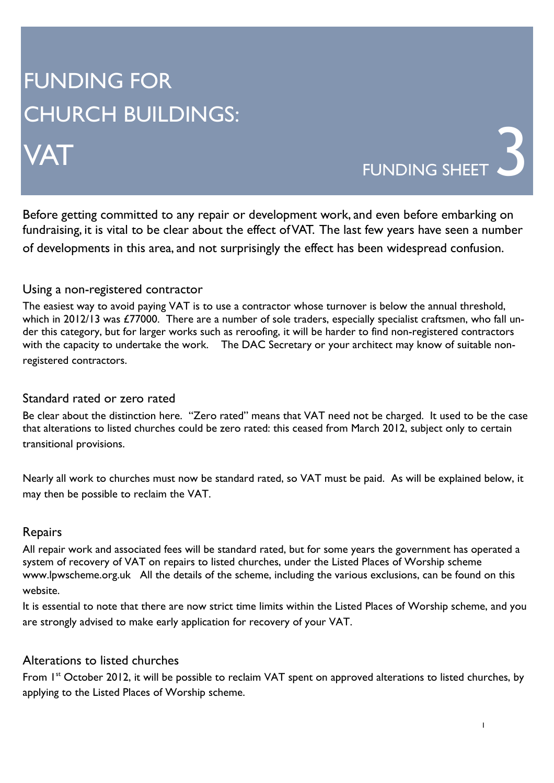# FUNDING FOR CHURCH BUILDINGS:

# VAT

FUNDING SHEET

Before getting committed to any repair or development work, and even before embarking on fundraising, it is vital to be clear about the effect of VAT. The last few years have seen a number of developments in this area, and not surprisingly the effect has been widespread confusion.

## Using a non-registered contractor

The easiest way to avoid paying VAT is to use a contractor whose turnover is below the annual threshold, which in 2012/13 was £77000. There are a number of sole traders, especially specialist craftsmen, who fall under this category, but for larger works such as reroofing, it will be harder to find non-registered contractors with the capacity to undertake the work. The DAC Secretary or your architect may know of suitable nonregistered contractors.

## Standard rated or zero rated

Be clear about the distinction here. "Zero rated" means that VAT need not be charged. It used to be the case that alterations to listed churches could be zero rated: this ceased from March 2012, subject only to certain transitional provisions.

Nearly all work to churches must now be standard rated, so VAT must be paid. As will be explained below, it may then be possible to reclaim the VAT.

#### Repairs

All repair work and associated fees will be standard rated, but for some years the government has operated a system of recovery of VAT on repairs to listed churches, under the Listed Places of Worship scheme www.lpwscheme.org.uk All the details of the scheme, including the various exclusions, can be found on this website.

It is essential to note that there are now strict time limits within the Listed Places of Worship scheme, and you are strongly advised to make early application for recovery of your VAT.

#### Alterations to listed churches

From 1<sup>st</sup> October 2012, it will be possible to reclaim VAT spent on approved alterations to listed churches, by applying to the Listed Places of Worship scheme.